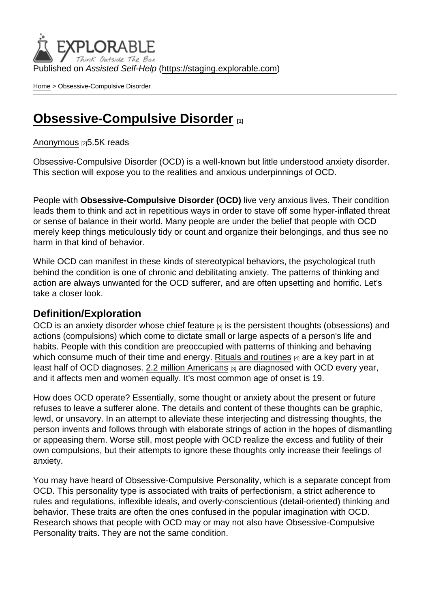Published on Assisted Self-Help [\(https://staging.explorable.com](https://staging.explorable.com))

[Home](https://staging.explorable.com/en) > Obsessive-Compulsive Disorder

## [Obsessive-Compulsive Disorder](https://staging.explorable.com/en/e/obsessive-compulsive-disorders)

[Anonymous](https://staging.explorable.com/en/users/grharriman) [2]5.5K reads

Obsessive-Compulsive Disorder (OCD) is a well-known but little understood anxiety disorder. This section will expose you to the realities and anxious underpinnings of OCD.

People with Obsessive-Compulsive Disorder (OCD) live very anxious lives. Their condition leads them to think and act in repetitious ways in order to stave off some hyper-inflated threat or sense of balance in their world. Many people are under the belief that people with OCD merely keep things meticulously tidy or count and organize their belongings, and thus see no harm in that kind of behavior.

While OCD can manifest in these kinds of stereotypical behaviors, the psychological truth behind the condition is one of chronic and debilitating anxiety. The patterns of thinking and action are always unwanted for the OCD sufferer, and are often upsetting and horrific. Let's take a closer look.

#### Definition/Exploration

OCD is an anxiety disorder whose [chief feature](http://www.nimh.nih.gov/health/topics/obsessive-compulsive-disorder-ocd/index.shtml)  $[3]$  is the persistent thoughts (obsessions) and actions (compulsions) which come to dictate small or large aspects of a person's life and habits. People with this condition are preoccupied with patterns of thinking and behaving which consume much of their time and energy. [Rituals and routines](http://www.nytimes.com/health/guides/disease/generalized-anxiety-disorder/print.html) [4] are a key part in at least half of OCD diagnoses. [2.2 million Americans](http://www.nimh.nih.gov/health/topics/obsessive-compulsive-disorder-ocd/index.shtml) [3] are diagnosed with OCD every year, and it affects men and women equally. It's most common age of onset is 19.

How does OCD operate? Essentially, some thought or anxiety about the present or future refuses to leave a sufferer alone. The details and content of these thoughts can be graphic, lewd, or unsavory. In an attempt to alleviate these interjecting and distressing thoughts, the person invents and follows through with elaborate strings of action in the hopes of dismantling or appeasing them. Worse still, most people with OCD realize the excess and futility of their own compulsions, but their attempts to ignore these thoughts only increase their feelings of anxiety.

You may have heard of Obsessive-Compulsive Personality, which is a separate concept from OCD. This personality type is associated with traits of perfectionism, a strict adherence to rules and regulations, inflexible ideals, and overly-conscientious (detail-oriented) thinking and behavior. These traits are often the ones confused in the popular imagination with OCD. Research shows that people with OCD may or may not also have Obsessive-Compulsive Personality traits. They are not the same condition.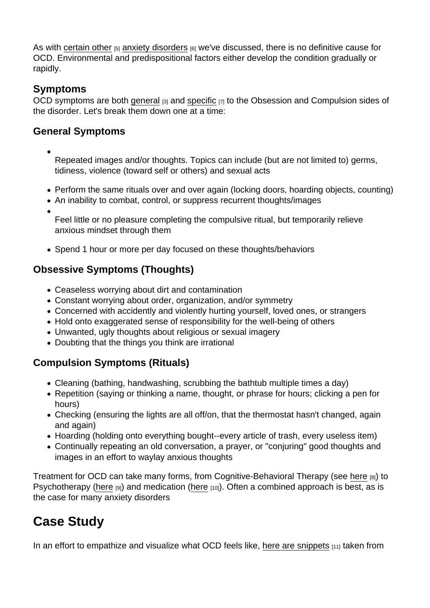As with [certain other](https://explorable.com/general-anxiety-disorder-gad)  $[5]$  [anxiety disorders](https://explorable.com/panic-disorder)  $[6]$  we've discussed, there is no definitive cause for OCD. Environmental and predispositional factors either develop the condition gradually or rapidly.

### Symptoms

OCD symptoms are both [general](http://www.nimh.nih.gov/health/topics/obsessive-compulsive-disorder-ocd/index.shtml)  $[3]$  and [specific](http://www.psyweb.com/mdisord/jsp/ocpd.jsp)  $[7]$  to the Obsession and Compulsion sides of the disorder. Let's break them down one at a time:

#### General Symptoms

- Repeated images and/or thoughts. Topics can include (but are not limited to) germs, tidiness, violence (toward self or others) and sexual acts
- Perform the same rituals over and over again (locking doors, hoarding objects, counting)
- An inability to combat, control, or suppress recurrent thoughts/images
	- Feel little or no pleasure completing the compulsive ritual, but temporarily relieve anxious mindset through them
- Spend 1 hour or more per day focused on these thoughts/behaviors

#### Obsessive Symptoms (Thoughts)

- Ceaseless worrying about dirt and contamination
- Constant worrying about order, organization, and/or symmetry
- Concerned with accidently and violently hurting yourself, loved ones, or strangers
- Hold onto exaggerated sense of responsibility for the well-being of others
- Unwanted, ugly thoughts about religious or sexual imagery
- Doubting that the things you think are irrational

### Compulsion Symptoms (Rituals)

- Cleaning (bathing, handwashing, scrubbing the bathtub multiple times a day)
- Repetition (saying or thinking a name, thought, or phrase for hours; clicking a pen for hours)
- Checking (ensuring the lights are all off/on, that the thermostat hasn't changed, again and again)
- Hoarding (holding onto everything bought--every article of trash, every useless item)
- Continually repeating an old conversation, a prayer, or "conjuring" good thoughts and images in an effort to waylay anxious thoughts

Treatment for OCD can take many forms, from Cognitive-Behavioral Therapy (see [here](https://explorable.com/cognitive-behavioral-therapy-cbt) [8]) to Psychotherapy ([here](https://explorable.com/psychotherapy) [9]) and medication [\(here](https://explorable.com/medication) [10]). Often a combined approach is best, as is the case for many anxiety disorders

# Case Study

In an effort to empathize and visualize what OCD feels like, [here are snippets](http://www.nimh.nih.gov/health/publications/when-unwanted-thoughts-take-over-obsessive-compulsive-disorder/index.shtml) [11] taken from